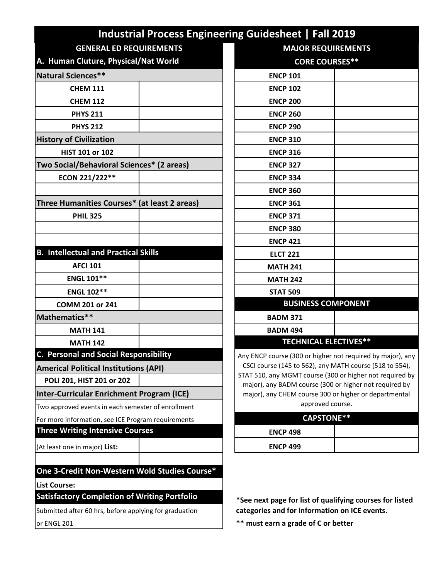|                                                        |  | <b>Industrial Process Engineering Guidesheet   Fall 2019</b>                                                        |  |  |
|--------------------------------------------------------|--|---------------------------------------------------------------------------------------------------------------------|--|--|
| <b>GENERAL ED REQUIREMENTS</b>                         |  | <b>MAJOR REQUIREMENTS</b>                                                                                           |  |  |
| A. Human Cluture, Physical/Nat World                   |  | <b>CORE COURSES**</b>                                                                                               |  |  |
| Natural Sciences**                                     |  | <b>ENCP 101</b>                                                                                                     |  |  |
| <b>CHEM 111</b>                                        |  | <b>ENCP 102</b>                                                                                                     |  |  |
| <b>CHEM 112</b>                                        |  | <b>ENCP 200</b>                                                                                                     |  |  |
| <b>PHYS 211</b>                                        |  | <b>ENCP 260</b>                                                                                                     |  |  |
| <b>PHYS 212</b>                                        |  | <b>ENCP 290</b>                                                                                                     |  |  |
| <b>History of Civilization</b>                         |  | <b>ENCP 310</b>                                                                                                     |  |  |
| HIST 101 or 102                                        |  | <b>ENCP 316</b>                                                                                                     |  |  |
| Two Social/Behavioral Sciences* (2 areas)              |  | <b>ENCP 327</b>                                                                                                     |  |  |
| ECON 221/222**                                         |  | <b>ENCP 334</b>                                                                                                     |  |  |
|                                                        |  | <b>ENCP 360</b>                                                                                                     |  |  |
| Three Humanities Courses* (at least 2 areas)           |  | <b>ENCP 361</b>                                                                                                     |  |  |
| <b>PHIL 325</b>                                        |  | <b>ENCP 371</b>                                                                                                     |  |  |
|                                                        |  | <b>ENCP 380</b>                                                                                                     |  |  |
|                                                        |  | <b>ENCP 421</b>                                                                                                     |  |  |
| <b>B. Intellectual and Practical Skills</b>            |  | <b>ELCT 221</b>                                                                                                     |  |  |
| <b>AFCI 101</b>                                        |  | <b>MATH 241</b>                                                                                                     |  |  |
| <b>ENGL 101**</b>                                      |  | <b>MATH 242</b>                                                                                                     |  |  |
| <b>ENGL 102**</b>                                      |  | <b>STAT 509</b>                                                                                                     |  |  |
| COMM 201 or 241                                        |  | <b>BUSINESS COMPONENT</b>                                                                                           |  |  |
| Mathematics**                                          |  | <b>BADM 371</b>                                                                                                     |  |  |
| <b>MATH 141</b>                                        |  | <b>BADM 494</b>                                                                                                     |  |  |
| <b>MATH 142</b>                                        |  | <b>TECHNICAL ELECTIVES**</b>                                                                                        |  |  |
| <b>C. Personal and Social Responsibility</b>           |  | Any ENCP course (300 or higher not required by major), any                                                          |  |  |
| <b>Americal Political Institutions (API)</b>           |  | CSCI course (145 to 562), any MATH course (518 to 554),<br>STAT 510, any MGMT course (300 or higher not required by |  |  |
| POLI 201, HIST 201 or 202                              |  | major), any BADM course (300 or higher not required by                                                              |  |  |
| Inter-Curricular Enrichment Program (ICE)              |  | major), any CHEM course 300 or higher or departmental                                                               |  |  |
| Two approved events in each semester of enrollment     |  | approved course.                                                                                                    |  |  |
| For more information, see ICE Program requirements     |  | <b>CAPSTONE**</b>                                                                                                   |  |  |
| <b>Three Writing Intensive Courses</b>                 |  | <b>ENCP 498</b>                                                                                                     |  |  |
| (At least one in major) List:                          |  | <b>ENCP 499</b>                                                                                                     |  |  |
| One 3-Credit Non-Western Wold Studies Course*          |  |                                                                                                                     |  |  |
| <b>List Course:</b>                                    |  |                                                                                                                     |  |  |
| <b>Satisfactory Completion of Writing Portfolio</b>    |  | *See next page for list of qualifying courses for listed                                                            |  |  |
| Submitted after 60 hrs, before applying for graduation |  | categories and for information on ICE events.                                                                       |  |  |
| or ENGL 201                                            |  | ** must earn a grade of C or better                                                                                 |  |  |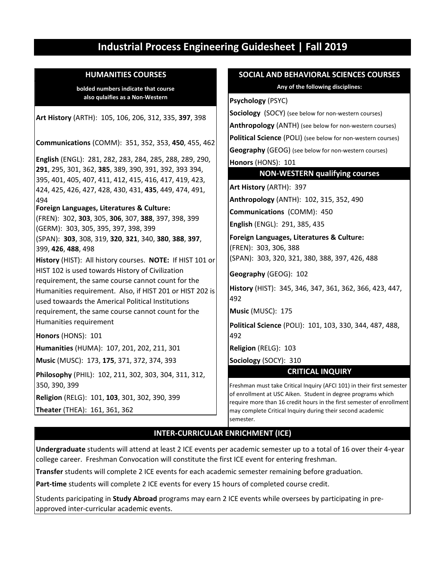# **Industrial Process Engineering Guidesheet | Fall 2019**

**bolded numbers indicate that course also qulaifies as a Non-Western**

**Theater** (THEA): 161, 361, 362 492 492 **Humanities** (HUMA): 107, 201, 202, 211, 301 **Religion** (RELG): 101, **103**, 301, 302, 390, 399 **Art History** (ARTH): 105, 106, 206, 312, 335, **397**, 398 **Communications** (COMM): 351, 352, 353, **450**, 455, 462 **History** (HIST): All history courses. **NOTE:** If HIST 101 or HIST 102 is used towards History of Civilization requirement, the same course cannot count for the Humanities requirement. Also, if HIST 201 or HIST 202 is used towaards the Americal Political Institutions requirement, the same course cannot count for the Humanities requirement **Honors** (HONS): 101 **English** (ENGL): 281, 282, 283, 284, 285, 288, 289, 290, **291**, 295, 301, 362, **385**, 389, 390, 391, 392, 393 394, 395, 401, 405, 407, 411, 412, 415, 416, 417, 419, 423, 424, 425, 426, 427, 428, 430, 431, **435**, 449, 474, 491, 494 **Foreign Languages, Literatures & Culture:** (FREN): 302, **303**, 305, **306**, 307, **388**, 397, 398, 399 (GERM): 303, 305, 395, 397, 398, 399 (SPAN): **303**, 308, 319, **320**, **321**, 340, **380**, **388**, **397**, 399, **426**, **488**, 498 **Music** (MUSC): 173, 175, 371, 372, 374, 393 **Sociology** (SOCY): 310 **Philosophy** (PHIL): 102, 211, 302, 303, 304, 311, 312, 350, 390, 399

# **HUMANITIES COURSES SOCIAL AND BEHAVIORAL SCIENCES COURSES**

**Any of the following disciplines:**

**Psychology** (PSYC)

**Sociology** (SOCY) (see below for non-western courses)

**Anthropology** (ANTH) (see below for non-western courses)

**Political Science** (POLI) (see below for non-western courses)

**Geography** (GEOG) (see below for non-western courses)

**Honors** (HONS): 101

## **NON-WESTERN qualifying courses**

**Art History** (ARTH): 397

**Anthropology** (ANTH): 102, 315, 352, 490

**Communications** (COMM): 450

**English** (ENGL): 291, 385, 435

**Foreign Languages, Literatures & Culture:** (FREN): 303, 306, 388 (SPAN): 303, 320, 321, 380, 388, 397, 426, 488

**Geography** (GEOG): 102

**History** (HIST): 345, 346, 347, 361, 362, 366, 423, 447,

**Music** (MUSC): 175

**Political Science** (POLI): 101, 103, 330, 344, 487, 488,

**Religion** (RELG): 103

**CRITICAL INQUIRY**

Freshman must take Critical Inquiry (AFCI 101) in their first semester of enrollment at USC Aiken. Student in degree programs which require more than 16 credit hours in the first semester of enrollment may complete Critical Inquiry during their second academic semester.

# **INTER-CURRICULAR ENRICHMENT (ICE)**

**Undergraduate** students will attend at least 2 ICE events per academic semester up to a total of 16 over their 4-year college career. Freshman Convocation will constitute the first ICE event for entering freshman.

**Transfer** students will complete 2 ICE events for each academic semester remaining before graduation.

**Part-time** students will complete 2 ICE events for every 15 hours of completed course credit.

Students paricipating in **Study Abroad** programs may earn 2 ICE events while oversees by participating in preapproved inter-curricular academic events.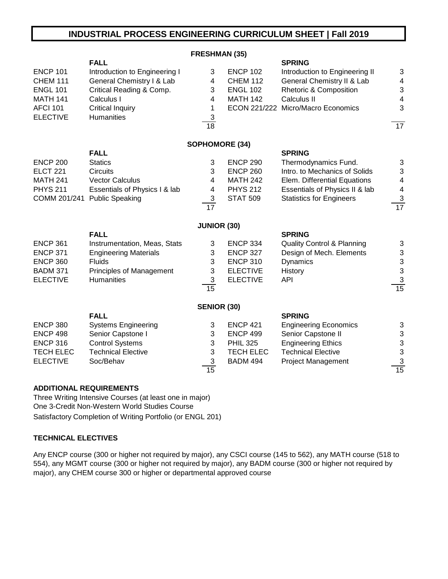# **INDUSTRIAL PROCESS ENGINEERING CURRICULUM SHEET | Fall 2019**

|                  |                                 | <b>FRESHMAN (35)</b>      |                  |                                       |                          |
|------------------|---------------------------------|---------------------------|------------------|---------------------------------------|--------------------------|
|                  | <b>FALL</b>                     |                           |                  | <b>SPRING</b>                         |                          |
| <b>ENCP 101</b>  | Introduction to Engineering I   | 3                         | <b>ENCP 102</b>  | Introduction to Engineering II        | 3                        |
| <b>CHEM 111</b>  | General Chemistry I & Lab       | 4                         | <b>CHEM 112</b>  | General Chemistry II & Lab            | 4                        |
| <b>ENGL 101</b>  | Critical Reading & Comp.        | 3                         | <b>ENGL 102</b>  | <b>Rhetoric &amp; Composition</b>     | 3                        |
| <b>MATH 141</b>  | Calculus I                      | $\overline{4}$            | <b>MATH 142</b>  | Calculus II                           | $\overline{\mathcal{L}}$ |
| <b>AFCI 101</b>  | <b>Critical Inquiry</b>         | 1                         |                  | ECON 221/222 Micro/Macro Economics    | 3                        |
| <b>ELECTIVE</b>  | Humanities                      | 3                         |                  |                                       |                          |
|                  |                                 | 18                        |                  |                                       | $\overline{17}$          |
|                  |                                 | <b>SOPHOMORE (34)</b>     |                  |                                       |                          |
|                  | <b>FALL</b>                     |                           |                  | <b>SPRING</b>                         |                          |
| <b>ENCP 200</b>  | <b>Statics</b>                  | 3                         | <b>ENCP 290</b>  | Thermodynamics Fund.                  | 3                        |
| <b>ELCT 221</b>  | <b>Circuits</b>                 | 3                         | <b>ENCP 260</b>  | Intro. to Mechanics of Solids         | 3                        |
| <b>MATH 241</b>  | <b>Vector Calculus</b>          | $\overline{\mathbf{4}}$   | <b>MATH 242</b>  | Elem. Differential Equations          | $\overline{\mathcal{A}}$ |
| <b>PHYS 211</b>  | Essentials of Physics I & lab   | 4                         | <b>PHYS 212</b>  | Essentials of Physics II & lab        | $\overline{\mathcal{A}}$ |
| COMM 201/241     | <b>Public Speaking</b>          | $\sqrt{3}$                | <b>STAT 509</b>  | <b>Statistics for Engineers</b>       | $\overline{3}$           |
|                  |                                 | $\overline{17}$           |                  |                                       | 17                       |
|                  |                                 | <b>JUNIOR (30)</b>        |                  |                                       |                          |
|                  | <b>FALL</b>                     |                           |                  | <b>SPRING</b>                         |                          |
| <b>ENCP 361</b>  | Instrumentation, Meas, Stats    | 3                         | <b>ENCP 334</b>  | <b>Quality Control &amp; Planning</b> | 3                        |
| <b>ENCP 371</b>  | <b>Engineering Materials</b>    | 3                         | <b>ENCP 327</b>  | Design of Mech. Elements              | 3                        |
| <b>ENCP 360</b>  | <b>Fluids</b>                   | 3                         | <b>ENCP 310</b>  | <b>Dynamics</b>                       | $\frac{3}{3}$            |
| <b>BADM 371</b>  | <b>Principles of Management</b> | 3                         | <b>ELECTIVE</b>  | History                               |                          |
| <b>ELECTIVE</b>  | <b>Humanities</b>               | 3                         | <b>ELECTIVE</b>  | <b>API</b>                            | $\overline{3}$           |
|                  |                                 | 15                        |                  |                                       | 15                       |
|                  |                                 | <b>SENIOR (30)</b>        |                  |                                       |                          |
|                  | <b>FALL</b>                     |                           |                  | <b>SPRING</b>                         |                          |
| <b>ENCP 380</b>  | <b>Systems Engineering</b>      | 3                         | <b>ENCP 421</b>  | <b>Engineering Economics</b>          | 3                        |
| <b>ENCP 498</b>  | Senior Capstone I               | 3                         | <b>ENCP 499</b>  | Senior Capstone II                    | 3                        |
| <b>ENCP 316</b>  | <b>Control Systems</b>          | 3                         | <b>PHIL 325</b>  | <b>Engineering Ethics</b>             | $\mathbf{3}$             |
| <b>TECH ELEC</b> | <b>Technical Elective</b>       | 3                         | <b>TECH ELEC</b> | <b>Technical Elective</b>             | 3                        |
| <b>ELECTIVE</b>  | Soc/Behav                       | $\ensuremath{\mathsf{3}}$ | <b>BADM 494</b>  | <b>Project Management</b>             | $\overline{3}$           |
|                  |                                 | 15                        |                  |                                       | $\overline{15}$          |

#### **ADDITIONAL REQUIREMENTS**

Three Writing Intensive Courses (at least one in major) One 3-Credit Non-Western World Studies Course Satisfactory Completion of Writing Portfolio (or ENGL 201)

## **TECHNICAL ELECTIVES**

Any ENCP course (300 or higher not required by major), any CSCI course (145 to 562), any MATH course (518 to 554), any MGMT course (300 or higher not required by major), any BADM course (300 or higher not required by major), any CHEM course 300 or higher or departmental approved course